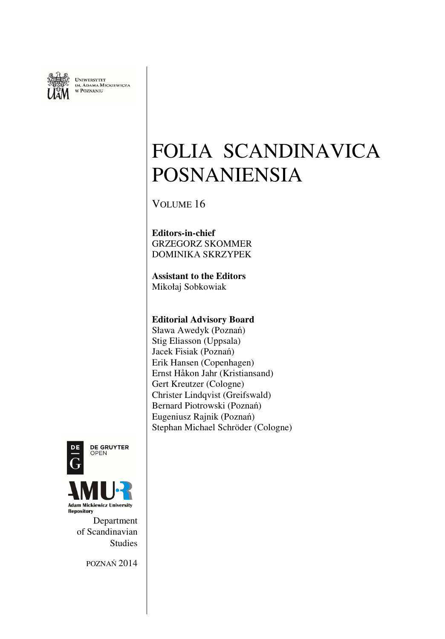

UNIWERSYTET<br>im, Adama Mickiewicza<br>w Poznaniu

# FOLIA SCANDINAVICA POSNANIENSIA

VOLUME 16

**Editors-in-chief** GRZEGORZ SKOMMER DOMINIKA SKRZYPEK

**Assistant to the Editors**  Mikołaj Sobkowiak

## **Editorial Advisory Board**

Sława Awedyk (Poznań) Stig Eliasson (Uppsala) Jacek Fisiak (Poznań) Erik Hansen (Copenhagen) Ernst Håkon Jahr (Kristiansand) Gert Kreutzer (Cologne) Christer Lindqvist (Greifswald) Bernard Piotrowski (Poznań) Eugeniusz Rajnik (Poznań) Stephan Michael Schröder (Cologne)



**DE GRUYTER** OPEN



Department of Scandinavian Studies

POZNAŃ 2014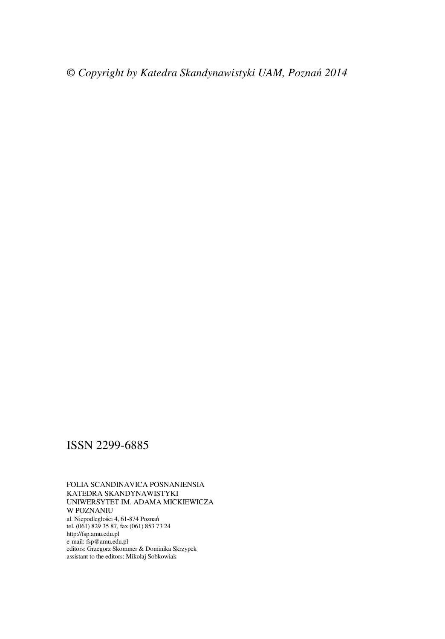## ISSN 2299-6885

#### FOLIA SCANDINAVICA POSNANIENSIA KATEDRA SKANDYNAWISTYKI UNIWERSYTET IM. ADAMA MICKIEWICZA W POZNANIU al. Niepodległości 4, 61-874 Poznań tel. (061) 829 35 87, fax (061) 853 73 24 http://fsp.amu.edu.pl e-mail: fsp@amu.edu.pl editors: Grzegorz Skommer & Dominika Skrzypek assistant to the editors: Mikołaj Sobkowiak